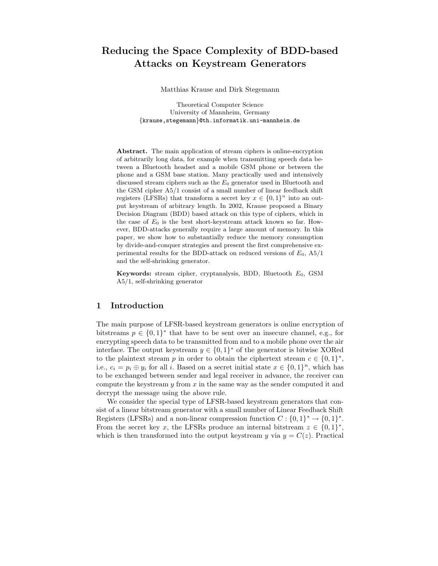# Reducing the Space Complexity of BDD-based Attacks on Keystream Generators

Matthias Krause and Dirk Stegemann

Theoretical Computer Science University of Mannheim, Germany {krause,stegemann}@th.informatik.uni-mannheim.de

Abstract. The main application of stream ciphers is online-encryption of arbitrarily long data, for example when transmitting speech data between a Bluetooth headset and a mobile GSM phone or between the phone and a GSM base station. Many practically used and intensively discussed stream ciphers such as the  $E_0$  generator used in Bluetooth and the GSM cipher A5/1 consist of a small number of linear feedback shift registers (LFSRs) that transform a secret key  $x \in \{0,1\}^n$  into an output keystream of arbitrary length. In 2002, Krause proposed a Binary Decision Diagram (BDD) based attack on this type of ciphers, which in the case of  $E_0$  is the best short-keystream attack known so far. However, BDD-attacks generally require a large amount of memory. In this paper, we show how to substantially reduce the memory consumption by divide-and-conquer strategies and present the first comprehensive experimental results for the BDD-attack on reduced versions of  $E_0$ , A5/1 and the self-shrinking generator.

Keywords: stream cipher, cryptanalysis, BDD, Bluetooth  $E_0$ , GSM A5/1, self-shrinking generator

## 1 Introduction

The main purpose of LFSR-based keystream generators is online encryption of bitstreams  $p \in \{0,1\}^*$  that have to be sent over an insecure channel, e.g., for encrypting speech data to be transmitted from and to a mobile phone over the air interface. The output keystream  $y \in \{0,1\}^*$  of the generator is bitwise XORed to the plaintext stream p in order to obtain the ciphertext stream  $c \in \{0,1\}^*,$ i.e.,  $c_i = p_i \oplus y_i$  for all i. Based on a secret initial state  $x \in \{0,1\}^n$ , which has to be exchanged between sender and legal receiver in advance, the receiver can compute the keystream  $y$  from  $x$  in the same way as the sender computed it and decrypt the message using the above rule.

We consider the special type of LFSR-based keystream generators that consist of a linear bitstream generator with a small number of Linear Feedback Shift Registers (LFSRs) and a non-linear compression function  $C: \{0,1\}^* \to \{0,1\}^*$ . From the secret key x, the LFSRs produce an internal bitstream  $z \in \{0,1\}^*$ , which is then transformed into the output keystream y via  $y = C(z)$ . Practical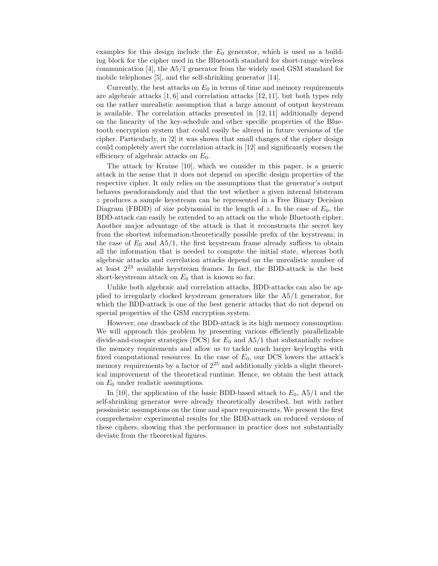examples for this design include the  $E_0$  generator, which is used as a building block for the cipher used in the Bluetooth standard for short-range wireless communication [4], the A5/1 generator from the widely used GSM standard for mobile telephones [5], and the self-shrinking generator [14].

Currently, the best attacks on  $E_0$  in terms of time and memory requirements are algebraic attacks [1, 6] and correlation attacks [12, 11], but both types rely on the rather unrealistic assumption that a large amount of output keystream is available. The correlation attacks presented in [12, 11] additionally depend on the linearity of the key-schedule and other specific properties of the Bluetooth encryption system that could easily be altered in future versions of the cipher. Particularly, in [2] it was shown that small changes of the cipher design could completely avert the correlation attack in [12] and significantly worsen the efficiency of algebraic attacks on  $E_0$ .

The attack by Krause [10], which we consider in this paper, is a generic attack in the sense that it does not depend on specific design properties of the respective cipher. It only relies on the assumptions that the generator's output behaves pseudorandomly and that the test whether a given internal bitstream z produces a sample keystream can be represented in a Free Binary Decision Diagram (FBDD) of size polynomial in the length of z. In the case of  $E_0$ , the BDD-attack can easily be extended to an attack on the whole Bluetooth cipher. Another major advantage of the attack is that it reconstructs the secret key from the shortest information-theoretically possible prefix of the keystream; in the case of  $E_0$  and  $A5/1$ , the first keystream frame already suffices to obtain all the information that is needed to compute the initial state, whereas both algebraic attacks and correlation attacks depend on the unrealistic number of at least 2 <sup>23</sup> available keystream frames. In fact, the BDD-attack is the best short-keystream attack on  $E_0$  that is known so far.

Unlike both algebraic and correlation attacks, BDD-attacks can also be applied to irregularly clocked keystream generators like the A5/1 generator, for which the BDD-attack is one of the best generic attacks that do not depend on special properties of the GSM encryption system.

However, one drawback of the BDD-attack is its high memory consumption. We will approach this problem by presenting various efficiently parallelizable divide-and-conquer strategies (DCS) for  $E_0$  and  $A5/1$  that substantially reduce the memory requirements and allow us to tackle much larger keylengths with fixed computational resources. In the case of  $E_0$ , our DCS lowers the attack's memory requirements by a factor of  $2^{25}$  and additionally yields a slight theoretical improvement of the theoretical runtime. Hence, we obtain the best attack on  $E_0$  under realistic assumptions.

In [10], the application of the basic BDD-based attack to  $E_0$ , A5/1 and the self-shrinking generator were already theoretically described, but with rather pessimistic assumptions on the time and space requirements. We present the first comprehensive experimental results for the BDD-attack on reduced versions of these ciphers, showing that the performance in practice does not substantially deviate from the theoretical figures.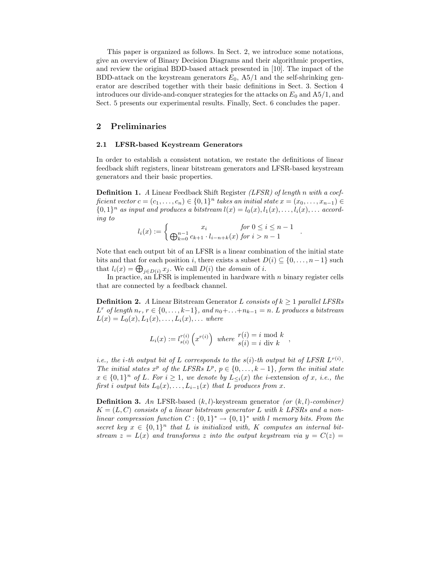This paper is organized as follows. In Sect. 2, we introduce some notations, give an overview of Binary Decision Diagrams and their algorithmic properties, and review the original BDD-based attack presented in [10]. The impact of the BDD-attack on the keystream generators  $E_0$ ,  $A5/1$  and the self-shrinking generator are described together with their basic definitions in Sect. 3. Section 4 introduces our divide-and-conquer strategies for the attacks on  $E_0$  and  $A5/1$ , and Sect. 5 presents our experimental results. Finally, Sect. 6 concludes the paper.

## 2 Preliminaries

#### 2.1 LFSR-based Keystream Generators

In order to establish a consistent notation, we restate the definitions of linear feedback shift registers, linear bitstream generators and LFSR-based keystream generators and their basic properties.

**Definition 1.** A Linear Feedback Shift Register *(LFSR)* of length n with a coefficient vector  $c = (c_1, \ldots, c_n) \in \{0,1\}^n$  takes an initial state  $x = (x_0, \ldots, x_{n-1}) \in$  $\{0,1\}^n$  as input and produces a bitstream  $l(x) = l_0(x), l_1(x), \ldots, l_i(x), \ldots$  according to

$$
l_i(x) := \begin{cases} x_i & \text{for } 0 \le i \le n-1 \\ \bigoplus_{k=0}^{n-1} c_{k+1} \cdot l_{i-n+k}(x) & \text{for } i > n-1 \end{cases}
$$

.

Note that each output bit of an LFSR is a linear combination of the initial state bits and that for each position i, there exists a subset  $D(i) \subseteq \{0, \ldots, n-1\}$  such that  $l_i(x) = \bigoplus_{j \in D(i)} x_j$ . We call  $D(i)$  the *domain* of *i*.

In practice, an LFSR is implemented in hardware with  $n$  binary register cells that are connected by a feedback channel.

**Definition 2.** A Linear Bitstream Generator L consists of  $k > 1$  parallel LFSRs  $L^r$  of length  $n_r$ ,  $r \in \{0, \ldots, k-1\}$ , and  $n_0 + \ldots + n_{k-1} = n$ . L produces a bitstream  $L(x) = L_0(x), L_1(x), \ldots, L_i(x), \ldots$  where

$$
L_i(x) := l_{s(i)}^{r(i)}\left(x^{r(i)}\right) \text{ where } \begin{aligned} r(i) &= i \mod k \\ s(i) &= i \text{ div } k \end{aligned}
$$

*i.e.*, the *i*-th output bit of L corresponds to the  $s(i)$ -th output bit of LFSR  $L^{r(i)}$ . The initial states  $x^p$  of the LFSRs  $L^p$ ,  $p \in \{0, \ldots, k-1\}$ , form the initial state  $x \in \{0,1\}^n$  of L. For  $i \geq 1$ , we denote by  $L_{\leq i}(x)$  the *i*-extension of x, *i.e.*, the first i output bits  $L_0(x), \ldots, L_{i-1}(x)$  that L produces from x.

**Definition 3.** An LFSR-based  $(k, l)$ -keystream generator (or  $(k, l)$ -combiner)  $K = (L, C)$  consists of a linear bitstream generator L with k LFSRs and a nonlinear compression function  $C: \{0,1\}^* \to \{0,1\}^*$  with l memory bits. From the secret key  $x \in \{0,1\}^n$  that L is initialized with, K computes an internal bitstream  $z = L(x)$  and transforms z into the output keystream via  $y = C(z)$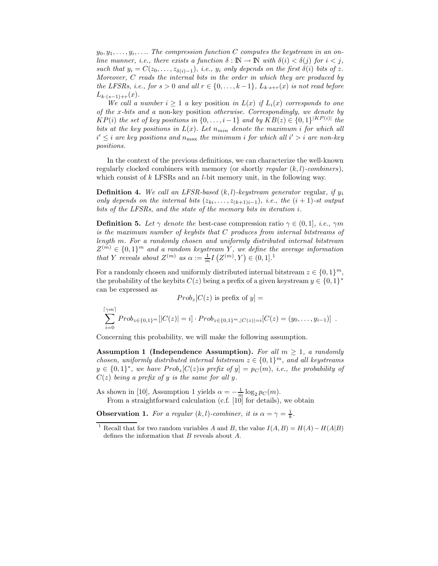$y_0, y_1, \ldots, y_i, \ldots$  The compression function C computes the keystream in an online manner, i.e., there exists a function  $\delta : \mathbb{N} \to \mathbb{N}$  with  $\delta(i) < \delta(j)$  for  $i < j$ , such that  $y_i = C(z_0, \ldots, z_{\delta(i)-1}),$  i.e.,  $y_i$  only depends on the first  $\delta(i)$  bits of z. Moreover, C reads the internal bits in the order in which they are produced by the LFSRs, i.e., for  $s > 0$  and all  $r \in \{0, \ldots, k-1\}$ ,  $L_{k \cdot s+r}(x)$  is not read before  $L_{k\cdot (s-1)+r}(x)$ .

We call a number  $i \geq 1$  a key position in  $L(x)$  if  $L_i(x)$  corresponds to one of the x-bits and a non-key position otherwise. Correspondingly, we denote by  $KP(i)$  the set of key positions in  $\{0,\ldots,i-1\}$  and by  $KB(z) \in \{0,1\}^{|KP(i)|}$  the bits at the key positions in  $L(x)$ . Let  $n_{min}$  denote the maximum i for which all  $i' \leq i$  are key positions and  $n_{\text{max}}$  the minimum i for which all  $i' > i$  are non-key positions.

In the context of the previous definitions, we can characterize the well-known regularly clocked combiners with memory (or shortly regular  $(k, l)$ -combiners), which consist of k LFSRs and an *l*-bit memory unit, in the following way.

**Definition 4.** We call an LFSR-based  $(k, l)$ -keystream generator regular, if  $y_i$ only depends on the internal bits  $(z_{ki},...,z_{(k+1)i-1}), i.e.,$  the  $(i + 1)$ -st output bits of the LFSRs, and the state of the memory bits in iteration i.

**Definition 5.** Let  $\gamma$  denote the best-case compression ratio  $\gamma \in (0, 1]$ , *i.e.*,  $\gamma m$ is the maximum number of keybits that C produces from internal bitstreams of length m. For a randomly chosen and uniformly distributed internal bitstream  $Z^{(m)} \in \{0,1\}^m$  and a random keystream Y, we define the average information that Y reveals about  $Z^{(m)}$  as  $\alpha := \frac{1}{m} I(Z^{(m)}, Y) \in (0, 1]$ .<sup>1</sup>

For a randomly chosen and uniformly distributed internal bitstream  $z \in \{0,1\}^m$ , the probability of the keybits  $C(z)$  being a prefix of a given keystream  $y \in \{0,1\}^*$ can be expressed as

 $Prob_z[C(z)]$  is prefix of  $y$  =

$$
\sum_{i=0}^{\lceil \gamma m \rceil} Prob_{z \in \{0,1\}^m} [|C(z)| = i] \cdot Prob_{z \in \{0,1\}^m, |C(z)| = i} [C(z) = (y_0, \ldots, y_{i-1})] .
$$

Concerning this probability, we will make the following assumption.

Assumption 1 (Independence Assumption). For all  $m \geq 1$ , a randomly chosen, uniformly distributed internal bitstream  $z \in \{0,1\}^m$ , and all keystreams  $y \in \{0,1\}^*$ , we have  $Prob_z[C(z)$  is prefix of  $y] = p_C(m)$ , i.e., the probability of  $C(z)$  being a prefix of y is the same for all y.

As shown in [10], Assumption 1 yields  $\alpha = -\frac{1}{m} \log_2 p_C(m)$ . From a straightforward calculation (c.f. [10] for details), we obtain

**Observation 1.** For a regular  $(k, l)$ -combiner, it is  $\alpha = \gamma = \frac{1}{k}$ .

Recall that for two random variables A and B, the value  $I(A, B) = H(A) - H(A|B)$ defines the information that  $B$  reveals about  $A$ .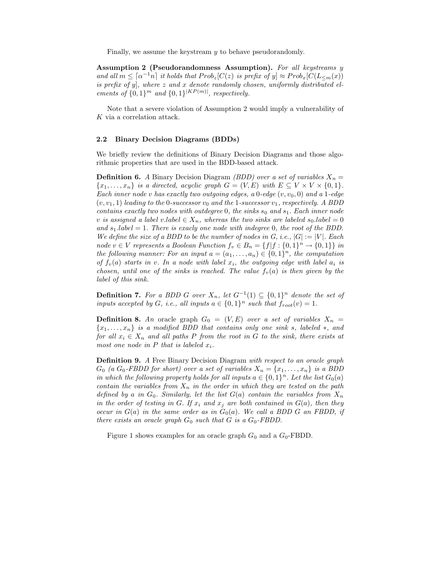Finally, we assume the keystream y to behave pseudorandomly.

Assumption 2 (Pseudorandomness Assumption). For all keystreams y and all  $m \leq \lceil \alpha^{-1}n \rceil$  it holds that  $Prob_z[C(z)]$  is prefix of  $y] \approx Prob_x[C(L_{\leq m}(x))]$ is prefix of y, where z and x denote randomly chosen, uniformly distributed elements of  $\{0,1\}^m$  and  $\{0,1\}^{|KP(m)|}$ , respectively.

Note that a severe violation of Assumption 2 would imply a vulnerability of K via a correlation attack.

#### 2.2 Binary Decision Diagrams (BDDs)

We briefly review the definitions of Binary Decision Diagrams and those algorithmic properties that are used in the BDD-based attack.

**Definition 6.** A Binary Decision Diagram *(BDD)* over a set of variables  $X_n =$  ${x_1, \ldots, x_n}$  is a directed, acyclic graph  $G = (V, E)$  with  $E \subseteq V \times V \times \{0, 1\}.$ Each inner node v has exactly two outgoing edges, a  $0$ -edge  $(v, v_0, 0)$  and a 1-edge  $(v, v_1, 1)$  leading to the 0-successor  $v_0$  and the 1-successor  $v_1$ , respectively. A BDD contains exactly two nodes with outdegree 0, the sinks  $s_0$  and  $s_1$ . Each inner node v is assigned a label v.label  $\in X_n$ , whereas the two sinks are labeled  $s_0$ .label = 0 and  $s_1$ .label = 1. There is exacly one node with indegree 0, the root of the BDD. We define the size of a BDD to be the number of nodes in G, i.e.,  $|G| := |V|$ . Each node v ∈ V represents a Boolean Function  $f_v \in B_n = \{f | f : \{0,1\}^n \to \{0,1\}\}\$ in the following manner: For an input  $a = (a_1, \ldots, a_n) \in \{0,1\}^n$ , the computation of  $f_v(a)$  starts in v. In a node with label  $x_i$ , the outgoing edge with label  $a_i$  is chosen, until one of the sinks is reached. The value  $f_v(a)$  is then given by the label of this sink.

**Definition 7.** For a BDD G over  $X_n$ , let  $G^{-1}(1) \subseteq \{0,1\}^n$  denote the set of inputs accepted by G, i.e., all inputs  $a \in \{0,1\}^n$  such that  $f_{root}(v) = 1$ .

**Definition 8.** An oracle graph  $G_0 = (V, E)$  over a set of variables  $X_n =$  ${x_1, \ldots, x_n}$  is a modified BDD that contains only one sink s, labeled  $\ast$ , and for all  $x_i \in X_n$  and all paths P from the root in G to the sink, there exists at most one node in  $P$  that is labeled  $x_i$ .

**Definition 9.** A Free Binary Decision Diagram with respect to an oracle graph  $G_0$  (a  $G_0$ -FBDD for short) over a set of variables  $X_n = \{x_1, \ldots, x_n\}$  is a BDD in which the following property holds for all inputs  $a \in \{0,1\}^n$ . Let the list  $G_0(a)$ contain the variables from  $X_n$  in the order in which they are tested on the path defined by a in  $G_0$ . Similarly, let the list  $G(a)$  contain the variables from  $X_n$ in the order of testing in G. If  $x_i$  and  $x_j$  are both contained in  $G(a)$ , then they occur in  $G(a)$  in the same order as in  $G_0(a)$ . We call a BDD G an FBDD, if there exists an oracle graph  $G_0$  such that G is a  $G_0$ -FBDD.

Figure 1 shows examples for an oracle graph  $G_0$  and a  $G_0$ -FBDD.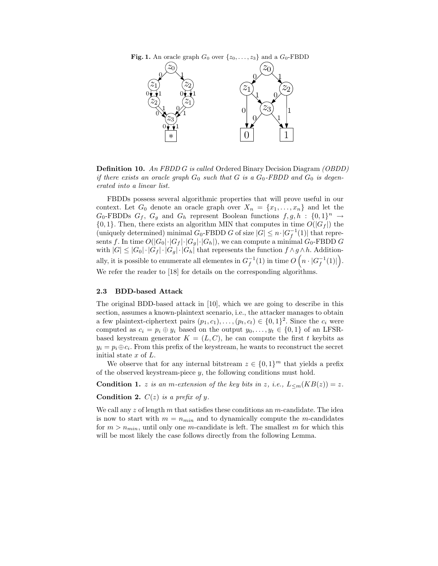



Definition 10. An FBDD G is called Ordered Binary Decision Diagram (OBDD) if there exists an oracle graph  $G_0$  such that G is a  $G_0$ -FBDD and  $G_0$  is degenerated into a linear list.

FBDDs possess several algorithmic properties that will prove useful in our context. Let  $G_0$  denote an oracle graph over  $X_n = \{x_1, \ldots, x_n\}$  and let the  $G_0$ -FBDDs  $G_f$ ,  $G_g$  and  $G_h$  represent Boolean functions  $f, g, h : \{0, 1\}^n \to$  ${0, 1}.$  Then, there exists an algorithm MIN that computes in time  $O(|G_f|)$  the (uniquely determined) minimal  $G_0$ -FBDD G of size  $|G| \leq n \cdot |G_f^{-1}(1)|$  that represents f. In time  $O(|G_0|\cdot |G_f|\cdot |G_g|\cdot |G_h|)$ , we can compute a minimal  $G_0$ -FBDD G with  $|G| \leq |G_0| \cdot |G_f| \cdot |G_g| \cdot |G_h|$  that represents the function  $f \wedge g \wedge h$ . Additionally, it is possible to enumerate all elementes in  $G_f^{-1}(1)$  in time  $O\left(n \cdot |G_f^{-1}(1)|\right)$ . We refer the reader to [18] for details on the corresponding algorithms.

#### 2.3 BDD-based Attack

The original BDD-based attack in [10], which we are going to describe in this section, assumes a known-plaintext scenario, i.e., the attacker manages to obtain a few plaintext-ciphertext pairs  $(p_1, c_1), \ldots, (p_t, c_t) \in \{0, 1\}^2$ . Since the  $c_i$  were computed as  $c_i = p_i \oplus y_i$  based on the output  $y_0, \ldots, y_t \in \{0, 1\}$  of an LFSRbased keystream generator  $K = (L, C)$ , he can compute the first t keybits as  $y_i = p_i \oplus c_i$ . From this prefix of the keystream, he wants to reconstruct the secret initial state x of L.

We observe that for any internal bitstream  $z \in \{0,1\}^m$  that yields a prefix of the observed keystream-piece  $y$ , the following conditions must hold.

**Condition 1.** z is an m-extension of the key bits in z, i.e.,  $L_{\leq m}(KB(z)) = z$ .

Condition 2.  $C(z)$  is a prefix of y.

We call any  $z$  of length  $m$  that satisfies these conditions an  $m$ -candidate. The idea is now to start with  $m = n_{min}$  and to dynamically compute the m-candidates for  $m > n_{min}$ , until only one m-candidate is left. The smallest m for which this will be most likely the case follows directly from the following Lemma.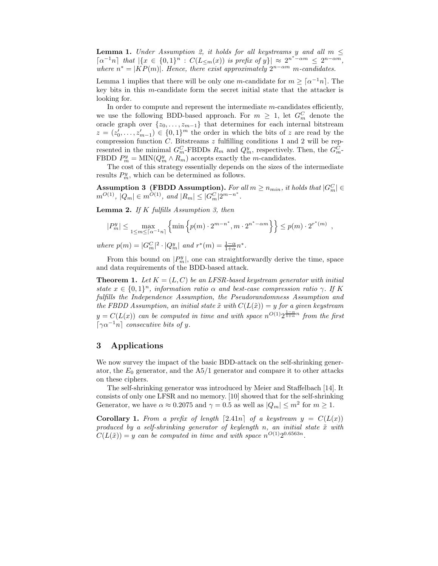**Lemma 1.** Under Assumption 2, it holds for all keystreams y and all  $m \leq$  $\lceil \alpha^{-1}n \rceil$  that  $\lceil \{x \in \{0,1\}^n : C(L_{\leq m}(x)) \text{ is prefix of } y\} \rceil \approx 2^{n^*-\alpha m} \leq 2^{n-\alpha m}$ , where  $n^* = |KP(m)|$ . Hence, there exist approximately  $2^{n-\alpha m}$  m-candidates.

Lemma 1 implies that there will be only one m-candidate for  $m \geq \lceil \alpha^{-1}n \rceil$ . The key bits in this m-candidate form the secret initial state that the attacker is looking for.

In order to compute and represent the intermediate m-candidates efficiently, we use the following BDD-based approach. For  $m \geq 1$ , let  $G_m^C$  denote the oracle graph over  $\{z_0, \ldots, z_{m-1}\}\$  that determines for each internal bitstream  $z = (z'_0, \ldots, z'_{m-1}) \in \{0,1\}^m$  the order in which the bits of z are read by the compression function  $C$ . Bitstreams  $z$  fulfilling conditions 1 and 2 will be represented in the minimal  $G_m^C$ -FBDDs  $R_m$  and  $Q_m^y$ , respectively. Then, the  $G_m^C$ -FBDD  $P_m^y = \text{MIN}(Q_m^y \wedge R_m)$  accepts exactly the m-candidates.

The cost of this strategy essentially depends on the sizes of the intermediate results  $P_m^y$ , which can be determined as follows.

Assumption 3 (FBDD Assumption). For all  $m \geq n_{min}$ , it holds that  $|G_m^C| \in$  $m^{O(1)}$ ,  $|Q_m| \in m^{O(1)}$ , and  $|R_m| \leq |G_m^C| 2^{m-n^*}$ .

**Lemma 2.** If  $K$  fulfills Assumption 3, then

$$
|P_m^y| \le \max_{1 \le m \le \lceil \alpha^{-1} n \rceil} \left\{ \min \left\{ p(m) \cdot 2^{m-n^*}, m \cdot 2^{n^* - \alpha m} \right\} \right\} \le p(m) \cdot 2^{r^*(m)},
$$

where  $p(m) = |G_m^C|^2 \cdot |Q_m^y|$  and  $r^*(m) = \frac{1-\alpha}{1+\alpha} n^*$ .

From this bound on  $|P_m^y|$ , one can straightforwardly derive the time, space and data requirements of the BDD-based attack.

**Theorem 1.** Let  $K = (L, C)$  be an LFSR-based keystream generator with initial state  $x \in \{0,1\}^n$ , information ratio  $\alpha$  and best-case compression ratio  $\gamma$ . If K fulfills the Independence Assumption, the Pseudorandomness Assumption and the FBDD Assumption, an initial state  $\tilde{x}$  with  $C(L(\tilde{x})) = y$  for a given keystream  $y = C(L(x))$  can be computed in time and with space  $n^{O(1)}2^{\frac{1-\alpha}{1+\alpha}n}$  from the first  $\lceil \gamma \alpha^{-1} n \rceil$  consecutive bits of y.

## 3 Applications

We now survey the impact of the basic BDD-attack on the self-shrinking generator, the  $E_0$  generator, and the  $A5/1$  generator and compare it to other attacks on these ciphers.

The self-shrinking generator was introduced by Meier and Staffelbach [14]. It consists of only one LFSR and no memory. [10] showed that for the self-shrinking Generator, we have  $\alpha \approx 0.2075$  and  $\gamma = 0.5$  as well as  $|Q_m| \le m^2$  for  $m \ge 1$ .

**Corollary 1.** From a prefix of length [2.41n] of a keystream  $y = C(L(x))$ produced by a self-shrinking generator of keylength n, an initial state  $\tilde{x}$  with  $C(L(\tilde{x})) = y$  can be computed in time and with space  $n^{O(1)}2^{0.6563n}$ .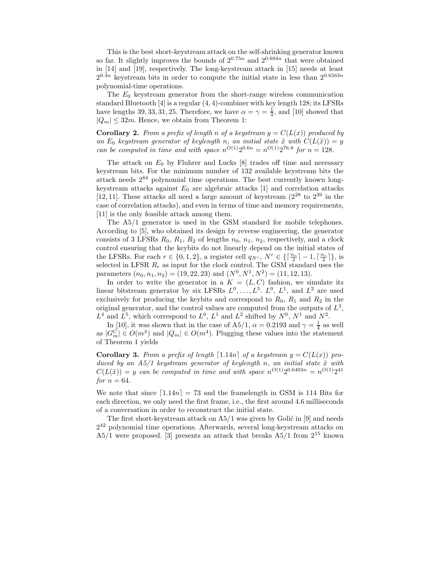This is the best short-keystream attack on the self-shrinking generator known so far. It slightly improves the bounds of  $2^{0.75n}$  and  $2^{0.694n}$  that were obtained in [14] and [19], respectively. The long-keystream attack in [15] needs at least  $2^{0.3n}$  keystream bits in order to compute the initial state in less than  $2^{0.6563n}$ polynomial-time operations.

The  $E_0$  keystream generator from the short-range wireless communication standard Bluetooth  $|4|$  is a regular  $(4, 4)$ -combiner with key length 128; its LFSRs have lengths 39, 33, 31, 25. Therefore, we have  $\alpha = \gamma = \frac{1}{4}$ , and [10] showed that  $|Q_m| \leq 32m$ . Hence, we obtain from Theorem 1:

**Corollary 2.** From a prefix of length n of a keystream  $y = C(L(x))$  produced by an  $E_0$  keystream generator of keylength n, an initial state  $\tilde{x}$  with  $C(L(\tilde{x})) = y$ can be computed in time and with space  $n^{O(1)}2^{0.6n} = n^{O(1)}2^{76.8}$  for  $n = 128$ .

The attack on  $E_0$  by Fluhrer and Lucks  $[8]$  trades off time and necessary keystream bits. For the minimum number of 132 available keystream bits the attack needs 2 <sup>84</sup> polynomial time operations. The best currently known longkeystream attacks against  $E_0$  are algebraic attacks [1] and correlation attacks [12, 11]. These attacks all need a large amount of keystream  $(2^{28}$  to  $2^{39}$  in the case of correlation attacks), and even in terms of time and memory requirements, [11] is the only feasible attack among them.

The A5/1 generator is used in the GSM standard for mobile telephones. According to [5], who obtained its design by reverse engineering, the generator consists of 3 LFSRs  $R_0$ ,  $R_1$ ,  $R_2$  of lengths  $n_0$ ,  $n_1$ ,  $n_2$ , respectively, and a clock control ensuring that the keybits do not linearly depend on the initial states of the LFSRs. For each  $r \in \{0, 1, 2\}$ , a register cell  $q_{N^r}$ ,  $N^r \in \{\lceil \frac{n_r}{2} \rceil - 1, \lceil \frac{n_r}{2} \rceil\}$ , is selected in LFSR  $R_r$  as input for the clock control. The GSM standard uses the parameters  $(n_0, n_1, n_2) = (19, 22, 23)$  and  $(N^0, N^1, N^2) = (11, 12, 13)$ .

In order to write the generator in a  $K = (L, C)$  fashion, we simulate its linear bitstream generator by six LFSRs  $L^0, \ldots, L^5$ .  $L^0, L^1$ , and  $L^2$  are used exclusively for producing the keybits and correspond to  $R_0$ ,  $R_1$  and  $R_2$  in the original generator, and the control values are computed from the outputs of  $L^3$ ,  $L^4$  and  $L^5$ , which correspond to  $L^0$ ,  $L^1$  and  $L^2$  shifted by  $N^0$ ,  $N^1$  and  $N^2$ .

In [10], it was shown that in the case of A5/1,  $\alpha = 0.2193$  and  $\gamma = \frac{1}{4}$  as well as  $|G_m^C| \in O(m^3)$  and  $|Q_m| \in O(m^4)$ . Plugging these values into the statement of Theorem 1 yields

**Corollary 3.** From a prefix of length  $[1.14n]$  of a keystream  $y = C(L(x))$  produced by an  $A5/1$  keystream generator of keylength n, an initial state  $\tilde{x}$  with  $C(L(\tilde{x})) = y$  can be computed in time and with space  $n^{O(1)}2^{0.6403n} = n^{O(1)}2^{41}$ for  $n = 64$ .

We note that since  $\lceil 1.14n \rceil = 73$  and the framelength in GSM is 114 Bits for each direction, we only need the first frame, i.e., the first around 4.6 milliseconds of a conversation in order to reconstruct the initial state.

The first short-keystream attack on  $A5/1$  was given by Golić in [9] and needs 2 <sup>42</sup> polynomial time operations. Afterwards, several long-keystream attacks on  $A5/1$  were proposed. [3] presents an attack that breaks  $A5/1$  from  $2^{15}$  known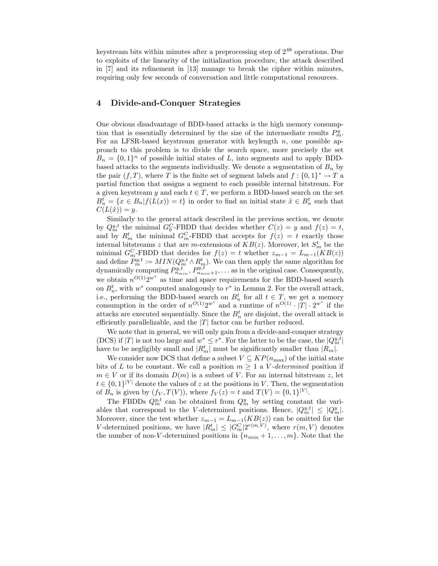keystream bits within minutes after a preprocessing step of 2 <sup>48</sup> operations. Due to exploits of the linearity of the initialization procedure, the attack described in [7] and its refinement in [13] manage to break the cipher within minutes, requiring only few seconds of conversation and little computational resources.

## 4 Divide-and-Conquer Strategies

One obvious disadvantage of BDD-based attacks is the high memory consumption that is essentially determined by the size of the intermediate results  $P_m^y$ . For an LFSR-based keystream generator with keylength  $n$ , one possible approach to this problem is to divide the search space, more precisely the set  $B_n = \{0,1\}^n$  of possible initial states of L, into segments and to apply BDDbased attacks to the segments individually. We denote a segmentation of  $B_n$  by the pair  $(f, T)$ , where T is the finite set of segment labels and  $f: \{0, 1\}^* \to T$  a partial function that assigns a segment to each possible internal bitstream. For a given keystream y and each  $t \in T$ , we perform a BDD-based search on the set  $B_n^t = \{x \in B_n | f(L(x)) = t\}$  in order to find an initial state  $\tilde{x} \in B_n^t$  such that  $C(L(\tilde{x})) = y.$ 

Similarly to the general attack described in the previous section, we denote by  $Q_m^{y,t}$  the minimal  $G_0^C$ -FBDD that decides whether  $C(z) = y$  and  $f(z) = t$ , and by  $R_m^t$  the minimal  $G_m^C$ -FBDD that accepts for  $f(z) = t$  exactly those internal bitstreams z that are *m*-extensions of  $KB(z)$ . Moreover, let  $S_m^t$  be the minimal  $G_m^C$ -FBDD that decides for  $f(z) = t$  whether  $z_{m-1} = L_{m-1}(KB(z))$ and define  $P_m^{y,t} := MIN(Q_m^{y,t} \wedge R_m^t)$ . We can then apply the same algorithm for dynamically computing  $P_{n_{min}}^{y,t}, P_{n_{min}+1}^{y,t}, \ldots$  as in the original case. Consequently, we obtain  $n^{O(1)}2^{w^*}$  as time and space requirements for the BDD-based search on  $B_n^t$ , with  $w^*$  computed analogously to  $r^*$  in Lemma 2. For the overall attack, i.e., performing the BDD-based search on  $B_n^t$  for all  $t \in T$ , we get a memory consumption in the order of  $n^{O(1)}2^{w^*}$  and a runtime of  $n^{O(1)} \cdot |T| \cdot 2^{w^*}$  if the attacks are executed sequentially. Since the  $B_n^t$  are disjoint, the overall attack is efficiently parallelizable, and the  $|T|$  factor can be further reduced.

We note that in general, we will only gain from a divide-and-conquer strategy (DCS) if |T| is not too large and  $w^* \leq r^*$ . For the latter to be the case, the  $|Q_m^{y,t}|$ have to be negligibly small and  $|R_m^t|$  must be significantly smaller than  $|R_m|$ .

We consider now DCS that define a subset  $V \subseteq KP(n_{\text{max}})$  of the initial state bits of L to be constant. We call a position  $m \geq 1$  a V-determined position if  $m \in V$  or if its domain  $D(m)$  is a subset of V. For an internal bitstream z, let  $t \in \{0,1\}^{|V|}$  denote the values of z at the positions in V. Then, the segmentation of  $B_n$  is given by  $(f_V, T(V))$ , where  $f_V(z) = t$  and  $T(V) = \{0, 1\}^{|V|}$ .

The FBDDs  $Q_m^{y,t}$  can be obtained from  $Q_m^y$  by setting constant the variables that correspond to the V-determined positions. Hence,  $|Q_m^{y,t}| \leq |Q_m^y|$ . Moreover, since the test whether  $z_{m-1} = L_{m-1}(KB(z))$  can be omitted for the V-determined positions, we have  $|R_m^t| \leq |G_m^C|2^{r(m,V)}$ , where  $r(m,V)$  denotes the number of non-V-determined positions in  ${n_{min} + 1, ..., m}$ . Note that the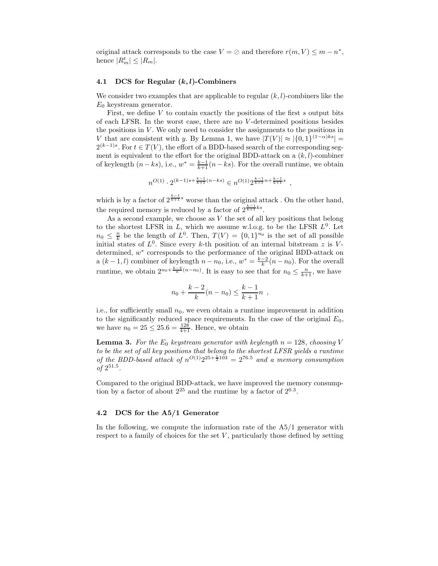original attack corresponds to the case  $V = \emptyset$  and therefore  $r(m, V) \leq m - n^*$ , hence  $|R_m^t| \leq |R_m|$ .

#### 4.1 DCS for Regular  $(k, l)$ -Combiners

We consider two examples that are applicable to regular  $(k, l)$ -combiners like the  $E_0$  keystream generator.

First, we define  $V$  to contain exactly the positions of the first  $s$  output bits of each LFSR. In the worst case, there are no V -determined positions besides the positions in  $V$ . We only need to consider the assignments to the positions in V that are consistent with y. By Lemma 1, we have  $|T(V)| \approx |\{0, 1\}^{(1-\alpha)ks}| =$  $2^{(k-1)s}$ . For  $t \in T(V)$ , the effort of a BDD-based search of the corresponding segment is equivalent to the effort for the original BDD-attack on a  $(k, l)$ -combiner of keylength  $(n - ks)$ , i.e.,  $w^* = \frac{k-1}{k+1}(n - ks)$ . For the overall runtime, we obtain

$$
n^{O(1)} \cdot 2^{(k-1)s + \frac{k-1}{k+1}(n-ks)} \in n^{O(1)} 2^{\frac{k-1}{k+1}n + \frac{k-1}{k+1}s} ,
$$

which is by a factor of  $2^{\frac{k-1}{k+1}s}$  worse than the original attack. On the other hand, the required memory is reduced by a factor of  $2^{\frac{k-1}{k+1}ks}$ .

As a second example, we choose as  $V$  the set of all key positions that belong to the shortest LFSR in  $L$ , which we assume w.l.o.g. to be the LFSR  $L^0$ . Let  $n_0 \leq \frac{n}{k}$  be the length of  $L^0$ . Then,  $T(V) = \{0,1\}^{n_0}$  is the set of all possible initial states of  $L^0$ . Since every k-th position of an internal bitstream z is Vdetermined,  $w^*$  corresponds to the performance of the original BDD-attack on a  $(k-1, l)$  combiner of keylength  $n - n_0$ , i.e.,  $w^* = \frac{k-2}{k}(n - n_0)$ . For the overall runtime, we obtain  $2^{n_0 + \frac{k-2}{k}(n-n_0)}$ . It is easy to see that for  $n_0 \leq \frac{n}{k+1}$ , we have

$$
n_0 + \frac{k-2}{k}(n - n_0) \le \frac{k-1}{k+1}n ,
$$

i.e., for sufficiently small  $n_0$ , we even obtain a runtime improvement in addition to the significantly reduced space requirements. In the case of the original  $E_0$ , we have  $n_0 = 25 \le 25.6 = \frac{128}{4+1}$ . Hence, we obtain

**Lemma 3.** For the  $E_0$  keystream generator with keylength  $n = 128$ , choosing V to be the set of all key positions that belong to the shortest LFSR yields a runtime of the BDD-based attack of  $n^{O(1)}2^{25+\frac{1}{2}103} = 2^{76.5}$  and a memory consumption of  $2^{51.5}$ .

Compared to the original BDD-attack, we have improved the memory consumption by a factor of about  $2^{25}$  and the runtime by a factor of  $2^{0.3}$ .

#### 4.2 DCS for the A5/1 Generator

In the following, we compute the information rate of the A5/1 generator with respect to a family of choices for the set  $V$ , particularly those defined by setting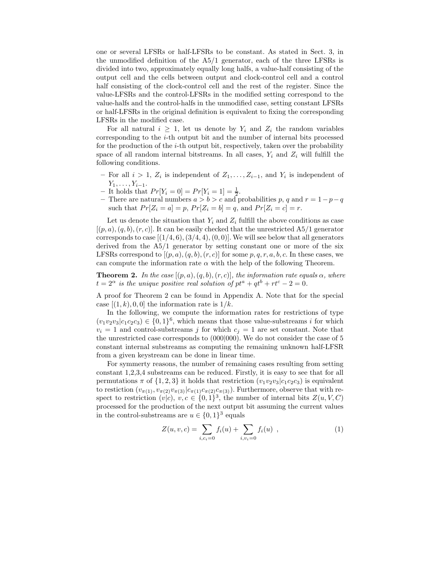one or several LFSRs or half-LFSRs to be constant. As stated in Sect. 3, in the unmodified definition of the A5/1 generator, each of the three LFSRs is divided into two, approximately equally long halfs, a value-half consisting of the output cell and the cells between output and clock-control cell and a control half consisting of the clock-control cell and the rest of the register. Since the value-LFSRs and the control-LFSRs in the modified setting correspond to the value-halfs and the control-halfs in the unmodified case, setting constant LFSRs or half-LFSRs in the original definition is equivalent to fixing the corresponding LFSRs in the modified case.

For all natural  $i \geq 1$ , let us denote by  $Y_i$  and  $Z_i$  the random variables corresponding to the  $i$ -th output bit and the number of internal bits processed for the production of the i-th output bit, respectively, taken over the probability space of all random internal bitstreams. In all cases,  $Y_i$  and  $Z_i$  will fulfill the following conditions.

- − For all  $i > 1$ ,  $Z_i$  is independent of  $Z_1, \ldots, Z_{i-1}$ , and  $Y_i$  is independent of  $Y_1, \ldots, Y_{i-1}.$
- It holds that  $Pr[Y_i = 0] = Pr[Y_i = 1] = \frac{1}{2}$ .
- There are natural numbers  $a > b > c$  and probabilities p, q and  $r = 1 p q$ such that  $Pr[Z_i = a] = p$ ,  $Pr[Z_i = b] = q$ , and  $Pr[Z_i = c] = r$ .

Let us denote the situation that  $Y_i$  and  $Z_i$  fulfill the above conditions as case  $[(p, a), (q, b), (r, c)]$ . It can be easily checked that the unrestricted A5/1 generator corresponds to case  $[(1/4, 6), (3/4, 4), (0, 0)]$ . We will see below that all generators derived from the A5/1 generator by setting constant one or more of the six LFSRs correspond to  $[(p, a), (q, b), (r, c)]$  for some  $p, q, r, a, b, c$ . In these cases, we can compute the information rate  $\alpha$  with the help of the following Theorem.

**Theorem 2.** In the case  $[(p, a), (q, b), (r, c)]$ , the information rate equals  $\alpha$ , where  $t = 2^{\alpha}$  is the unique positive real solution of  $pt^a + qt^b + rt^c - 2 = 0$ .

A proof for Theorem 2 can be found in Appendix A. Note that for the special case  $[(1, k), 0, 0]$  the information rate is  $1/k$ .

In the following, we compute the information rates for restrictions of type  $(v_1v_2v_3|c_1c_2c_3) \in \{0,1\}^6$ , which means that those value-substreams *i* for which  $v_i = 1$  and control-substreams j for which  $c_j = 1$  are set constant. Note that the unrestricted case corresponds to (000|000). We do not consider the case of 5 constant internal substreams as computing the remaining unknown half-LFSR from a given keystream can be done in linear time.

For symmerty reasons, the number of remaining cases resulting from setting constant 1,2,3,4 substreams can be reduced. Firstly, it is easy to see that for all permutations  $\pi$  of  $\{1,2,3\}$  it holds that restriction  $(v_1v_2v_3|c_1c_2c_3)$  is equivalent to restiction  $(v_{\pi(1)}, v_{\pi(2)}v_{\pi(3)}|c_{\pi(1)}c_{\pi(2)}c_{\pi(3)})$ . Furthermore, observe that with respect to restriction  $(v|c)$ ,  $v, c \in \{0, 1\}^3$ , the number of internal bits  $Z(u, V, C)$ processed for the production of the next output bit assuming the current values in the control-substreams are  $u \in \{0,1\}^3$  equals

$$
Z(u, v, c) = \sum_{i, c_i = 0} f_i(u) + \sum_{i, v_i = 0} f_i(u) , \qquad (1)
$$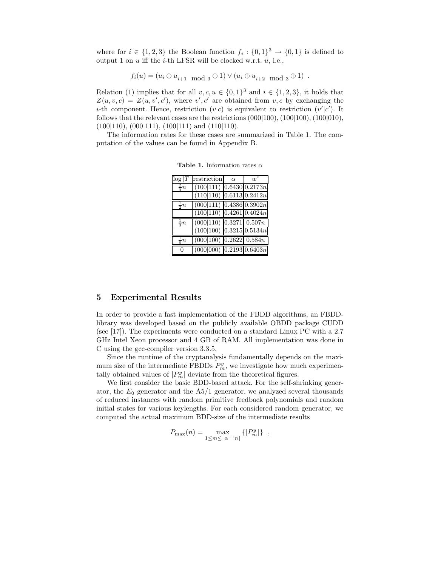where for  $i \in \{1,2,3\}$  the Boolean function  $f_i: \{0,1\}^3 \to \{0,1\}$  is defined to output 1 on  $u$  iff the  $i$ -th LFSR will be clocked w.r.t.  $u$ , i.e.,

$$
f_i(u) = (u_i \oplus u_{i+1} \mod 3 \oplus 1) \vee (u_i \oplus u_{i+2} \mod 3 \oplus 1).
$$

Relation (1) implies that for all  $v, c, u \in \{0, 1\}^3$  and  $i \in \{1, 2, 3\}$ , it holds that  $Z(u, v, c) = Z(u, v', c')$ , where v', c' are obtained from v, c by exchanging the *i*-th component. Hence, restriction  $(v|c)$  is equivalent to restriction  $(v'|c')$ . It follows that the relevant cases are the restrictions (000|100), (100|100), (100|010),  $(100|110)$ ,  $(000|111)$ ,  $(100|111)$  and  $(110|110)$ .

The information rates for these cases are summarized in Table 1. The computation of the values can be found in Appendix B.

|                | $\log  T $ restriction             | $\alpha$ | $w^*$ |
|----------------|------------------------------------|----------|-------|
| $rac{2}{2}n$   | $(100 111)$ 0.6430 0.2173n         |          |       |
|                | $(110 110)$ 0.6113 0.2412n         |          |       |
| $\frac{1}{2}n$ | $(000 111)$ 0.4386 0.3902n         |          |       |
|                | $(100 110)$ 0.4261 0.4024n         |          |       |
| $rac{1}{2}n$   | $(000 110)$ $0.3271$ $0.507n$      |          |       |
|                | $(100 100)$ 0.3215 0.5134n         |          |       |
| $\frac{1}{6}n$ | $(000 100)$ 0.2622 0.584n          |          |       |
| 0              | $(000 000)$ 0.2193 0.6403 <i>n</i> |          |       |

Table 1. Information rates  $\alpha$ 

## 5 Experimental Results

In order to provide a fast implementation of the FBDD algorithms, an FBDDlibrary was developed based on the publicly available OBDD package CUDD (see [17]). The experiments were conducted on a standard Linux PC with a 2.7 GHz Intel Xeon processor and 4 GB of RAM. All implementation was done in C using the gcc-compiler version 3.3.5.

Since the runtime of the cryptanalysis fundamentally depends on the maximum size of the intermediate FBDDs  $P_m^y$ , we investigate how much experimentally obtained values of  $|P_m^y|$  deviate from the theoretical figures.

We first consider the basic BDD-based attack. For the self-shrinking generator, the  $E_0$  generator and the  $A_5/1$  generator, we analyzed several thousands of reduced instances with random primitive feedback polynomials and random initial states for various keylengths. For each considered random generator, we computed the actual maximum BDD-size of the intermediate results

$$
P_{\max}(n) = \max_{1 \le m \le \lceil \alpha^{-1} n \rceil} \left\{ |P_m^y| \right\} ,
$$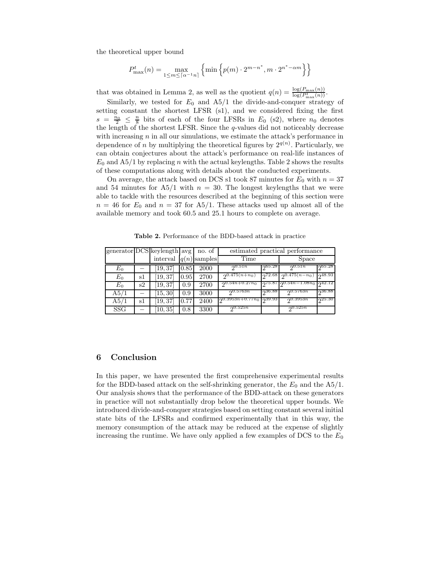the theoretical upper bound

$$
P_{\max}^t(n) = \max_{1 \le m \le \lceil \alpha^{-1} n \rceil} \left\{ \min \left\{ p(m) \cdot 2^{m-n^*}, m \cdot 2^{n^* - \alpha m} \right\} \right\}
$$

that was obtained in Lemma 2, as well as the quotient  $q(n) = \frac{\log(P_{\max}(n))}{\log(P_{\max}(n))}$ .

Similarly, we tested for  $E_0$  and  $A5/1$  the divide-and-conquer strategy of setting constant the shortest LFSR (s1), and we considered fixing the first  $s = \frac{n_0}{2} \leq \frac{n}{8}$  bits of each of the four LFSRs in  $E_0$  (s2), where  $n_0$  denotes the length of the shortest LFSR. Since the q-values did not noticeably decrease with increasing  $n$  in all our simulations, we estimate the attack's performance in dependence of *n* by multiplying the theoretical figures by  $2^{q(n)}$ . Particularly, we can obtain conjectures about the attack's performance on real-life instances of  $E_0$  and A5/1 by replacing n with the actual keylengths. Table 2 shows the results of these computations along with details about the conducted experiments.

On average, the attack based on DCS s1 took 87 minutes for  $E_0$  with  $n = 37$ and 54 minutes for  $A5/1$  with  $n = 30$ . The longest keylengths that we were able to tackle with the resources described at the beginning of this section were  $n = 46$  for  $E_0$  and  $n = 37$  for A5/1. These attacks used up almost all of the available memory and took 60.5 and 25.1 hours to complete on average.

|            |    | generator $DCS$ keylength avg no. of |      |      | estimated practical performance |               |                       |        |
|------------|----|--------------------------------------|------|------|---------------------------------|---------------|-----------------------|--------|
|            |    | interval $q(n)$ samples              |      |      | Time                            |               | Space                 |        |
| $E_0$      |    | [19, 37]                             | 0.85 | 2000 | 20.51n                          | 0.65.28       | 20.51n                | 265.28 |
| $E_0$      | sl | [19, 37]                             | 0.95 | 2700 | $2^{0.475(n+n_0)}$              | 272.68        | $\sqrt{0.475(n-n_0)}$ | 248.93 |
| $E_0$      | s2 | $\left[19,37\right]$                 | 0.9  | 2700 | $2^{0.54n+0.27n}$               | <b>075.87</b> | $20.54n - 1.08n_0$    | 242.12 |
| A5/1       |    | [15, 30]                             | 0.9  | 3000 | 20.5763n                        | ე36.88        | 20.5763n              | ე36.88 |
| A5/1       | s1 | $\left[19,37\right]$                 | 0.77 | 2400 | $0.3953n+0.77n_0$               | ი39.93        | 20.3953n              | 25.30  |
| <b>SSG</b> |    | 10, 35                               | 0.8  | 3300 | 20.525n                         |               | 20.525n               |        |

Table 2. Performance of the BDD-based attack in practice

## 6 Conclusion

In this paper, we have presented the first comprehensive experimental results for the BDD-based attack on the self-shrinking generator, the  $E_0$  and the A5/1. Our analysis shows that the performance of the BDD-attack on these generators in practice will not substantially drop below the theoretical upper bounds. We introduced divide-and-conquer strategies based on setting constant several initial state bits of the LFSRs and confirmed experimentally that in this way, the memory consumption of the attack may be reduced at the expense of slightly increasing the runtime. We have only applied a few examples of DCS to the  $E_0$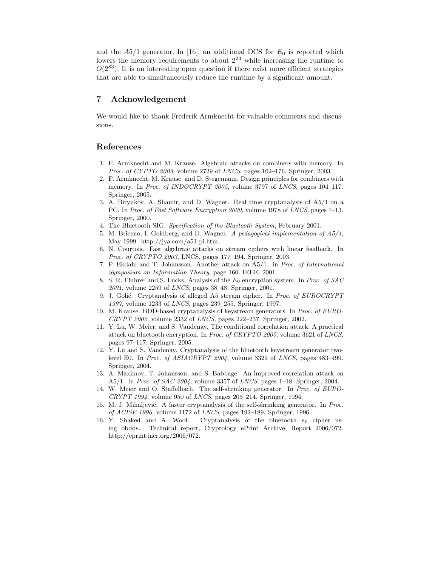and the  $A5/1$  generator. In [16], an additional DCS for  $E_0$  is reported which lowers the memory requirements to about  $2^{23}$  while increasing the runtime to  $O(2^{83})$ . It is an interesting open question if there exist more efficient strategies that are able to simultaneously reduce the runtime by a significant amount.

## 7 Acknowledgement

We would like to thank Frederik Armknecht for valuable comments and discussions.

## References

- 1. F. Armknecht and M. Krause. Algebraic attacks on combiners with memory. In Proc. of CYPTO 2003, volume 2729 of LNCS, pages 162–176. Springer, 2003.
- 2. F. Armknecht, M. Krause, and D. Stegemann. Design principles for combiners with memory. In Proc. of INDOCRYPT 2005, volume 3797 of LNCS, pages 104–117. Springer, 2005.
- 3. A. Biryukov, A. Shamir, and D. Wagner. Real time cryptanalysis of A5/1 on a PC. In Proc. of Fast Software Encryption 2000, volume 1978 of LNCS, pages 1–13. Springer, 2000.
- 4. The Bluetooth SIG. Specification of the Bluetooth System, February 2001.
- 5. M. Briceno, I. Goldberg, and D. Wagner. A pedagogical implementation of A5/1, May 1999. http://jya.com/a51-pi.htm.
- 6. N. Courtois. Fast algebraic attacks on stream ciphers with linear feedback. In Proc. of CRYPTO 2003, LNCS, pages 177–194. Springer, 2003.
- 7. P. Ekdahl and T. Johansson. Another attack on A5/1. In Proc. of International Symposium on Information Theory, page 160. IEEE, 2001.
- 8. S. R. Fluhrer and S. Lucks. Analysis of the  $E_0$  encryption system. In *Proc. of SAC* 2001, volume 2259 of LNCS, pages 38–48. Springer, 2001.
- 9. J. Golić. Cryptanalysis of alleged A5 stream cipher. In Proc. of EUROCRYPT 1997, volume 1233 of LNCS, pages 239–255. Springer, 1997.
- 10. M. Krause. BDD-based cryptanalysis of keystream generators. In Proc. of EURO-CRYPT 2002, volume 2332 of LNCS, pages 222–237. Springer, 2002.
- 11. Y. Lu, W. Meier, and S. Vaudenay. The conditional correlation attack: A practical attack on bluetooth encryption. In Proc. of CRYPTO 2005, volume 3621 of LNCS, pages 97–117. Springer, 2005.
- 12. Y. Lu and S. Vaudenay. Cryptanalysis of the bluetooth keystream generator twolevel E0. In Proc. of ASIACRYPT 2004, volume 3329 of LNCS, pages 483–499. Springer, 2004.
- 13. A. Maximov, T. Johansson, and S. Babbage. An improved correlation attack on A5/1. In Proc. of SAC 2004, volume 3357 of LNCS, pages 1-18. Springer, 2004.
- 14. W. Meier and O. Staffelbach. The self-shrinking generator. In Proc. of EURO- $CRYPT 1994$ , volume 950 of  $LNCS$ , pages 205-214. Springer, 1994.
- 15. M. J. Mihaljević. A faster cryptanalysis of the self-shrinking generator. In Proc. of ACISP 1996, volume 1172 of LNCS, pages 192–189. Springer, 1996.
- 16. Y. Shaked and A. Wool. Cryptanalysis of the bluetooth  $e_0$  cipher using obdds. Technical report, Cryptology ePrint Archive, Report 2006/072. http://eprint.iacr.org/2006/072.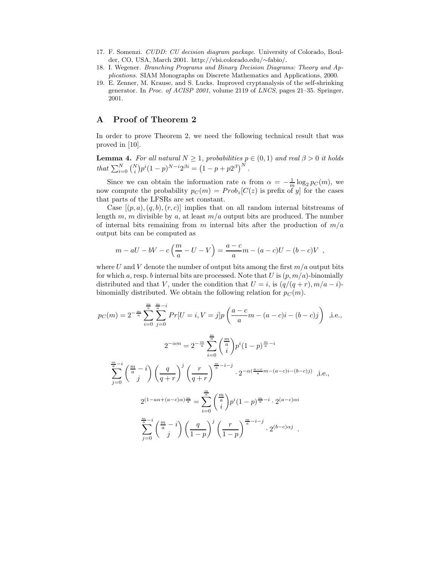- 17. F. Somenzi. CUDD: CU decision diagram package. University of Colorado, Boulder, CO, USA, March 2001. http://vlsi.colorado.edu/∼fabio/.
- 18. I. Wegener. Branching Programs and Binary Decision Diagrams: Theory and Applications. SIAM Monographs on Discrete Mathematics and Applications, 2000.
- 19. E. Zenner, M. Krause, and S. Lucks. Improved cryptanalysis of the self-shrinking generator. In Proc. of ACISP 2001, volume 2119 of LNCS, pages 21–35. Springer, 2001.

# A Proof of Theorem 2

In order to prove Theorem 2, we need the following technical result that was proved in [10].

**Lemma 4.** For all natural  $N \geq 1$ , probabilities  $p \in (0,1)$  and real  $\beta > 0$  it holds that  $\sum_{i=0}^{N} {N \choose i} p^{i} (1-p)^{N-i} 2^{\beta i} = (1-p+p2^{\beta})^N$ .

Since we can obtain the information rate  $\alpha$  from  $\alpha = -\frac{1}{m} \log_2 p_C(m)$ , we now compute the probability  $p_C(m) = Prob_z[C(z)]$  is prefix of y for the cases that parts of the LFSRs are set constant.

Case  $[(p, a), (q, b), (r, c)]$  implies that on all random internal bitstreams of length m, m divisible by a, at least  $m/a$  output bits are produced. The number of internal bits remaining from m internal bits after the production of  $m/a$ output bits can be computed as

$$
m - aU - bV - c\left(\frac{m}{a} - U - V\right) = \frac{a - c}{a}m - (a - c)U - (b - c)V
$$
,

where U and V denote the number of output bits among the first  $m/a$  output bits for which a, resp. b internal bits are processed. Note that U is  $(p, m/a)$ -binomially distributed and that V, under the condition that  $U = i$ , is  $(q/(q + r), m/a - i)$ binomially distributed. We obtain the following relation for  $p<sub>C</sub>(m)$ .

$$
p_C(m) = 2^{-\frac{m}{a}} \sum_{i=0}^{\frac{m}{a}} \sum_{j=0}^{\frac{m}{a}-i} Pr[U = i, V = j] p\left(\frac{a-c}{a}m - (a-c)i - (b-c)j\right) , \text{i.e.,}
$$
  

$$
2^{-\alpha m} = 2^{-\frac{m}{a}} \sum_{i=0}^{\frac{m}{a}} \binom{\frac{m}{a}}{i} p^i (1-p)^{\frac{m}{a}-i}
$$
  

$$
\sum_{j=0}^{\frac{m}{a}-i} \binom{\frac{m}{a}-i}{j} \left(\frac{q}{q+r}\right)^j \left(\frac{r}{q+r}\right)^{\frac{m}{a}-i-j} \cdot 2^{-\alpha(\frac{a-c}{a}m-(a-c)i-(b-c)j)} , \text{i.e.,}
$$
  

$$
2^{(1-a\alpha+(a-c)\alpha)\frac{m}{a}} = \sum_{i=0}^{\frac{m}{a}} \binom{\frac{m}{a}}{i} p^i (1-p)^{\frac{m}{a}-i} \cdot 2^{(a-c)\alpha i}
$$
  

$$
\sum_{j=0}^{\frac{m}{a}-i} \binom{\frac{m}{a}-i}{j} \left(\frac{q}{1-p}\right)^j \left(\frac{r}{1-p}\right)^{\frac{m}{a}-i-j} \cdot 2^{(b-c)\alpha j} .
$$